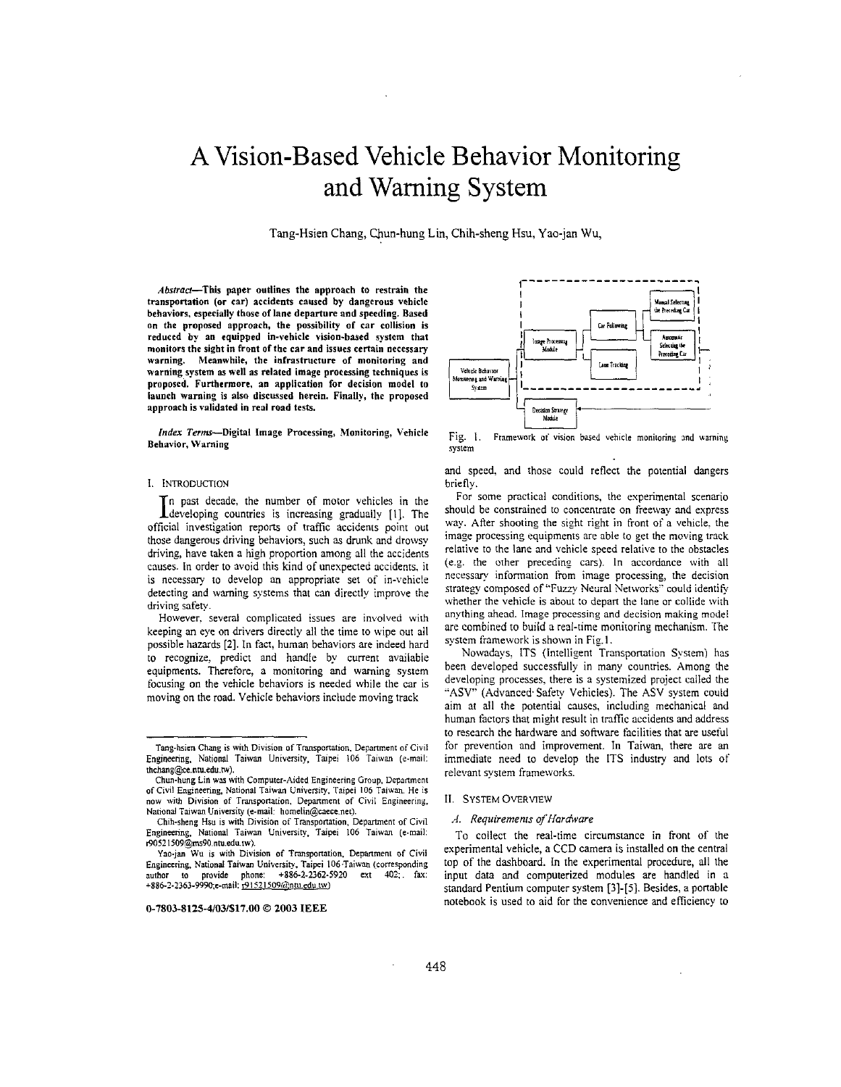# **A** Vision-Based Vehicle Behavior Monitoring and Warning System

Tang-Hsien Chang, Chun-hung Lin, Chih-sheng Hsu, Yao-jan Wu,

Abstract-This paper outlines the approach **to** restrain the transportation **(or** car) accidents caused by dangerous vehicle behaviors. especially those of **lane** departure and speeding. Based on the proposed approach, the possibility of car collision is reduced **by an** equipped in-vehicle vision-based system that monitors the sight in front of the car and issues certain necessary warning. Meanwhile, the infrastructure **of** monitoring and warning system **as well as** related image processing techniques is proposed. Furthermore, an application **for** decision model to launch warning is also discussed herein. Finally, the proposed approach is validated in real road tests.

*Index Terms*-Digital Image Processing, Monitoring, Vehicle Behavior. Warning

# **1.** INTRODUCTION

In past decade, the number of motor vehicles in the I developing countries is increasing gradually [1]. The official investigation reports of traffic accidents point out those dangerous driving behaviors, such **as** drunk and drowsy driving, have taken a high proportion among all the accidents causes. In order to avoid this kind of unexpected accidents. it is necessary to develop an appropriate set of in-vehicle detecting and warning systems that can directly improve the driving safety.

However. several complicated issues are invoived with keeping an eye on drivers directly all the time to wipe out all possible hazards **[Z].** In fact. human behaviors are indeed hard to recognize. predict and handle by current available equipments. Therefore: a monitoring and warning system focusing on the vehicle behaviors is needed while the car is moving on the road. Vehicle behaviors include moving track



Fig. 1. **Framework** *oi* vision based vehicle monitoring md **warning system** 

and speed. and those could reflect the potential dangers briefly.

For some practical conditions. the experimental scenario should be constrained to concentrate on freeway and express way. Atter shooting the sight right in front of a vehicle. the image processing equipments are abie to get the moving track relative to the lane and vehicle speed relative to the obstacles (e.g. the other preceding cars). In accordance with ail necessary information from image processing, the decision strategy composed of "Fuzzy Neural Networks" could identify whether the vehicle is about to depart the lane or coliide with anything ahead. Imape processing and decision **making** mode1 are combined to build a real-time monitoring mechanism. The system framework is shown in Fig. I.

Nowadays, ITS (Intelligent Transportation System) has been developed successfully in many countries. Among the developing processes, there is a systemized project called the **"ASV"** (Advanced Safety Vehicles). The ASV system could aim at all the potential causes, including mechanical and human factors that might result in traffic accidents and address to research the hardware and software facilities that are useful for prevention and improvement. In Taiwan, there are an immediate need to develop the ITS industry and lots of relevant system frame:vorks.

# **11.** SYSTEM **OVERVIEW**

#### A. *Requiremenis of Hardware*

To collect the real-time circumstance in front of the experimental vehicle, a CCD camera is installed **on** the central top of the dashboard. In the experimental procedure, ail the input data and computerized modules are handled in a standard Pentium computer system **[3]-[5].** Besides, a portable notebook is used to aid for the convenience and efficiency to

Tanphsien Chang is wirh Division **of** Transpanation. **Department of** Civil Engineering, National Taiwan University, Taipei 106 Taiwan (e-mail: thchang@ce.ntu.edu.tw).

Chun-hung Lin was with Computer-Aided Engineering Group, Department **of** Civil **Engineering,** National Taiwan University, Taipei 106 Taiwan. **He is now** with Division **of** Transpanation. Department of Civil Engineering, National Taiwan University (e-mail: homelin@caece.net).

Chih-sheng **Hw is** wilh Division **of** Transpanation. **Deparunenl of** Civil Engineering, National Taiwan University, Taipei 106 Taiwan (e-mail:  $r90521509$ @ms90.ntu.edu.tw).

**Yao-;an Wu is** with Division **of Tmsponatian. Dcpanment of** Civil Engineering, National Taiwan University, Taipei 106 Taiwan (corresponding<br>author to provide phone: +886-2-2362-5920 ext 402: fax: **to** provide phone:  $+886-2-2362-5920$  ext  $402$ ; fax: +886-2-2363-9990;e-mail: 191521509@ntu.edu.tw)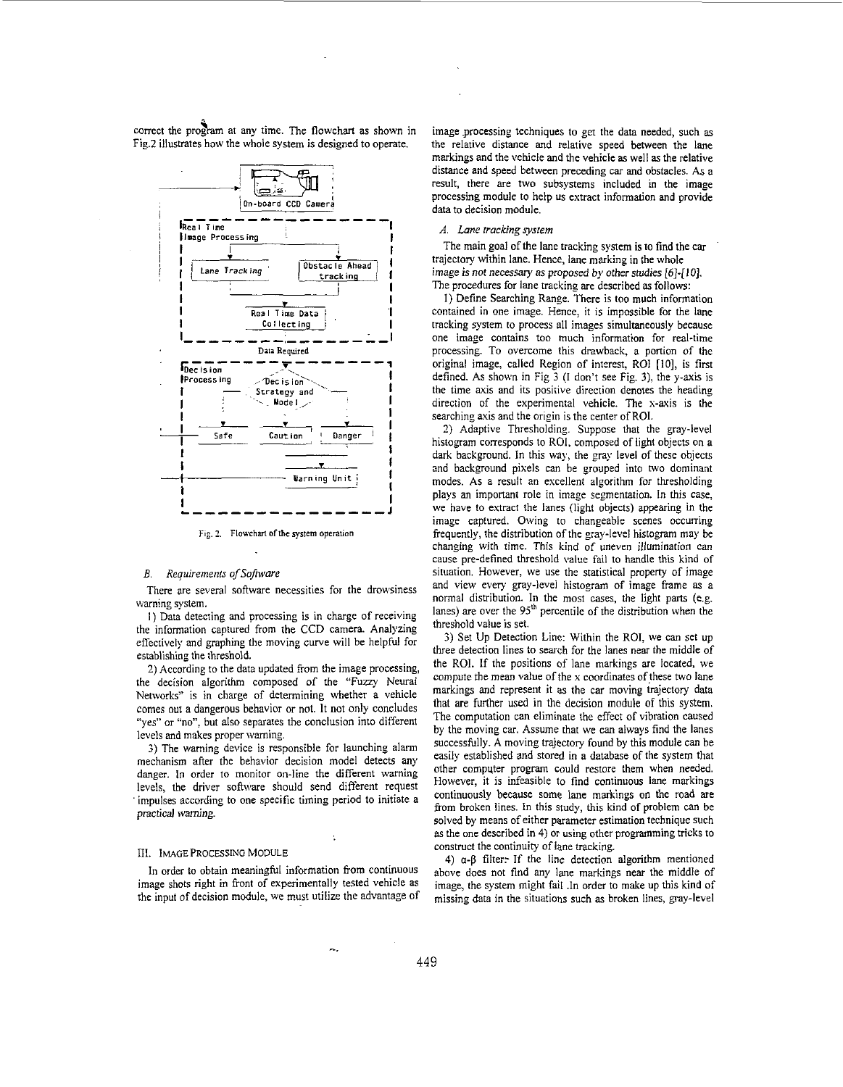correct the program at any time. The flowchart as shown in Fig.2 illustrates how the whole system is designed to operate.



Fig. 2. Flowchart of the system operation

# *E. Requiremenls ofSofnsure*

There are several software necessities for the drowsiness warning system.

I) Data detecting and processing is in charge of receiving the information captured from the **CCD** camera. Analyzing effectively and graphing the moving curve will be helpful for establishing the threshold.

**2)** According to the data updated from the image processing, the decision algorithm composed of the "Fuzzy Neural Networks" is in charge of determining whether a vehicle comes out a dangerous behavior or not. It not only concludes "yes" or "no", but also separates the conclusion into different levels and makes proper warning.

**3)** The warning device is responsible for launching alarm mechanism after the behavior decision model detects any danger. In order to monitor on-line the different waming levels, the driver software should send different request impulses according to one specific timing period to initiate a practical warning.

# Ill. IMAGE **PROCESSING MODULE**

In order to obtain meaningful information from continuous image shots right in front of experimentally tested vehicle as the input of decision module, we must utilize the advantage of

-.\_

image processing techniques to get the data needed, such **as**  the relative distance and relative speed between the lane markings and the vehicle and the vehicle **as** well **as** the relative distance and speed between preceding *car* and obstacles. **As** a result, there are two subsystems included in the image processing module to help us extract information and provide data to decision module.

# *A. Lnne trucking system*

The main goal of the lane tracking system is to find the car trajectory within lane. Hence, lane marking in the whole image is not necessary **as** proposed by other studies *[6]-[10].*  The procedures for lane tracking are described **as** follows:

I) Define Searching Range. There is too much information contained in one image. Hence, it is impossible for the lane tracking system to process all images simultaneously because one image contains too much information for real-time processing. To overcome this drawback, a portion of the original image, called Region of interest, ROI [IO], is first defined. **As** shown in [Fig](#page-2-0) **3** (I don't see Fig. **3).** the y-axis is the time axis and its positive direction denotes the heading direction of the experimental vehicle. The **x-axis** is the searching axis and the origin is the center of ROI.

**2)** Adaptive Thresholding. Suppose that the gray-level histogram corresponds to ROI, composed of light objects on a dark background. In this way, the gray level of these objects and background pixels can be grouped into two dominant modes. As a result an excellent algorithm for thresholding plays an important role in image segmentation. In this case, we have to extract the lanes (light objects) appearing in the image captured. Owing to changeable scenes occuning frequently, the distribution of the gray-level histogram may be changing with time. This kind of uneven illumination can cause pre-defined threshold value fail to handle this kind of situation. However, we use the statistical property of image and view every gray-level histogram of image frame **as** a normal distribution. In the most cases, the light parts (e.g. lanes) are over the  $95<sup>th</sup>$  percentile of the distribution when the threshold value is set.

**5)** Set Up Detection Line: Within the ROI, we can set up three detection lines to search for the lanes near the middle of the ROI. If the positions of lane markings are located, we compute the mean value of the  $x$  coordinates of these two lane markings and represent it **as** the car moving trajectory data that are funher used in the decision module of this system. The computation can eliminate the effect of vibration caused by the moving car. Assume that we can always find the lanes successfully. A moving trajectory found by this module can be easily established and stored in a database of the system that other compqter program could restore them when needed. However, it is infeasible to find continuous lane markings continuously because some lane markings on the road are from broken lines. In this study, this kind of problem can be solved by means of either parameter estimation technique such **as** the one described in **4)** or using other programming tricks to construct the continuity of lane tracking.

**4)** *a-P* filter: If the line detection algorithm mentioned above does not find any lane markings near the middle of image, the system might fail .In order to make up this kind of missing data in the situations such **as** broken lines, gray-level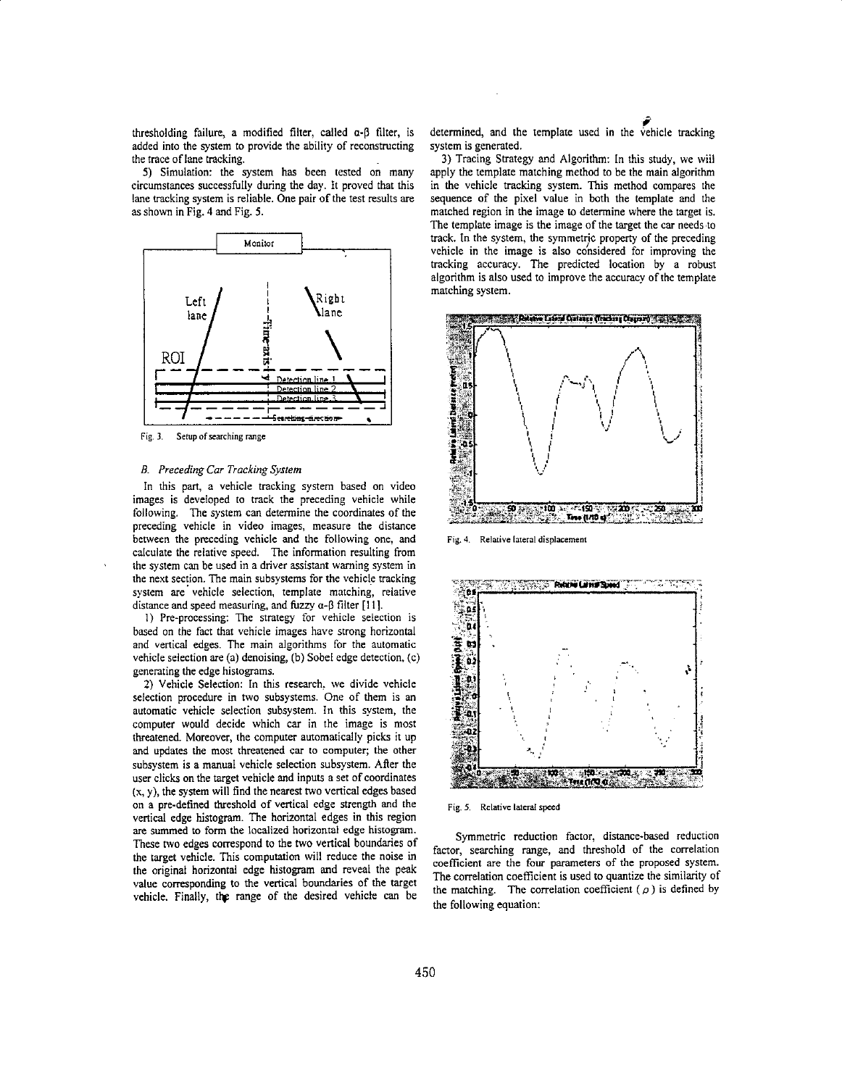<span id="page-2-0"></span>thresholding failure, a modified filter, called *a-P* filter, is added into the system to provide the ability of reconstructing the trace of lane tracking.

*5)* Simulation: the system has been tested on many circumstances successfully during the day. It proved that this lane tracking system is reliable. One pair **of** the test results are **as** shown in Fig. **4** and Fig. *5.* 



Fig. **3. Setup of** searching range

# *B. Preceding Car Tracking System*

**In** this part, a vehicle tracking system based on video images is developed to track the preceding vehicle while following. The system can determine the coordinates of the preceding vehicle in video images, measure the distance between the preceding vehicle and the following one. and calculate the relative speed. The information resulting From the system can be used in a driver assistant warning system in the next section. The main subsystems for the vehicle tracking system are vehicle selection, template matching, relative distance and speed measuring, and fuzzy  $\alpha$ - $\beta$  filter [11].

I) Pre-processing: The strategy for vehicle selection is based on the fact that vehicle images have strong horizontal and vertical edges. The main algorithms for the automatic vehicle selection are **(a)** denoising, (b) Sobel edge detection, (c) generating the edge histograms.

**2)** Vehicle Selection: **In** this research, we divide vehicle selection procedure in two subsystems. One of them is **an**  automatic vehicle selection subsystem. In this system, the computer would decide which car in the image is most threatened. Moreover, the computer automatically picks it up and updates the most threatened car to computer; the other subsystem is a manual vehicle selection subsystem. After the user clicks **on** the target vehicle and inputs a set **of** coordinates (x, y), the system will find the nearest two vertical edges based on a pre-defined threshold **of** vertical edge strength and the vertical edge histogram. The horizontal edges in this region are summed to form the localized horizontal edge histogam. These **two** edges correspond to the two vertical boundaries of the target vehicle. This computation will reduce the noise in the original horizontal edge histogram and reveal the peak value corresponding to the vertical boundaries of the target vehicle. Finally, the range of the desired vehicle can be determined, and the template used in the vehicle tracking system is generated.

**3)** Tracing Strategy and Algorithm: In this study, we wiil apply the template matching method to be the main algorithm in the vehicle tracking system. This method compares the sequence of the pixel value in both the template and the matched region in the image to determine where the target is. The template image is the image of the target the car needs'to track. In the system, the symmetric property of the preceding vehicle in the image is also considered for improving the tracking accuracy. The predicted location by a robust algorithm is also used to improve the accuracy of the template matching system.



Fig. 4. Relative fateral displacement



Fig. *5.* **Relative lateral speed** 

Symmetric reduction factor, distance-based reduction factor, searching range, and threshold of the correlation coefficient are the four parameters of the proposed system. The correlation coefficient is used to quantize the similarity of the matching. The correlation coefficient ( $\rho$ ) is defined by the following equation: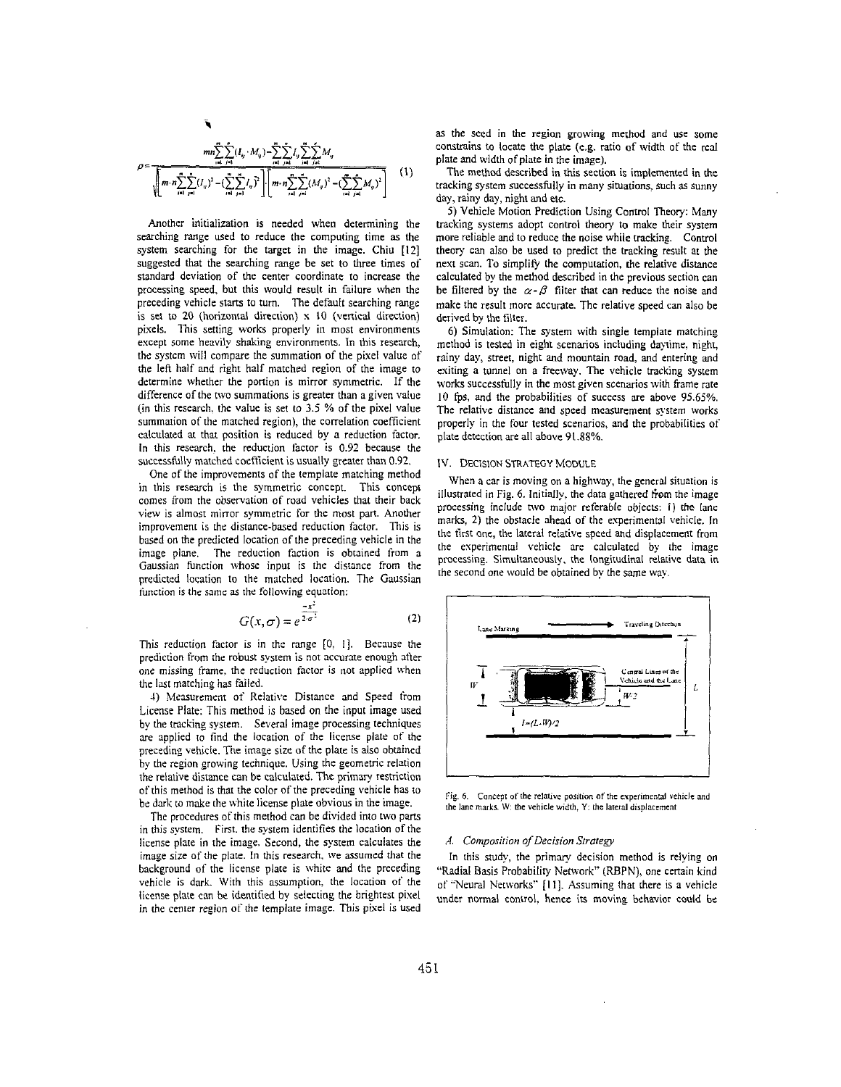$$
\rho = \frac{mn \sum_{i=1}^{m} \sum_{j=1}^{n} (I_{ij} \cdot M_{ij}) - \sum_{i=1}^{m} \sum_{j=1}^{n} I_{ij} \sum_{i=1}^{n} \sum_{j=1}^{r} M_{ij}}{\sqrt{m \cdot n \sum_{i=1}^{n} \sum_{j=1}^{n} (I_{ij})^2 - (\sum_{i=1}^{n} \sum_{j=1}^{n} I_{ij})^2} \sqrt{m \cdot n \sum_{i=1}^{n} \sum_{j=1}^{n} (M_{ij})^2 - (\sum_{i=1}^{n} \sum_{j=1}^{n} M_{ij})^2}}
$$
 (1)

Another initialization is needed when determining the searching range used to reduce the computing time as the system searching for the target in the image. Chiu **[I21**  suggested that the searching range be set to three times of standard deviation of the center coordinate to increase the processing speed, but this would result in failure when the preceding vehicle starts to turn. The default searching range is set to **20** (horizontal direction) **x** I0 (vertical direction) pixels. This setting works properly in most environments except some heavily shaking environments. In this research, the system will compare the summation of the pixel value of the left half and right half matched region of the image to determine whether the portion is mirror symmetric. If the difference of the *WO* summations is greater than a given value (in this research, the value is set to 3.5 % of the pixel value summation of the matched region), the correlation coefficient calculated at that position is reduced by a reduction factor. In this research. the reduction factor is 0.92 because the successfully matched coefficient is usually greater than 0.92.

One of the improvements of the template matching method in this research **is** the symmetric concept. This concepr comes from the observation of road vehicles that their back view is almost mirror symmetric for the most part. Another improvement is the distance-based reduction factor. This is based on the predicted location of the preceding vehicle in the image plane. The reduction faction is obtained from **<sup>a</sup>** Gaussian function whose input is the distance from the predicted location to the matched location. The Gaussian function is the same as the following equation:<br>  $G(x|\sigma) = e^{\frac{x^2}{2\sigma^2}}$  (2) function is the same as the following equation:

$$
G(x,\sigma) = e^{\frac{-x^2}{2\sigma^2}}
$$
 (2)

This reduction factor is in the range [O. I]. Because the prediction from the robust system is not accurate enough after one missing frame, the reduction factor is not applied when the last matching has failed.

4) Measurement of Relative Distance and Speed from License Plate: This method is based on the input image used by the tracking system. Several image processing techniques are applied to find the location of the license plate of the preceding vehicle. The image size *of* the plate is also obtained by the region growing technique. Using the geometric relation the relative distance can be calculated. The primary restriction of this method is that the color of the preceding vehicle has to be dark to make the white license plate obvious in the image.

The procedures of this method can be divided into two parts in this system. First, the system identifies the location of the license plate in the image. Second. the system calculates the image size of the plate. In this research. we assumed that the background of the license plate is white and the preceding vehicle is dark. With this assumption. the location *01'* the license plate cm be identified by selecting the brightest pixel in the center region of the template image. This pixel is used as the seed in the region growing method and use some constrains to locate the **plate** (e.g. ratio of width of the real plate and width of plate in the image).

The method described in this section is implemented in the tracking system successfully in many situations. such as sunny day, rainy day, night and etc.

*5)* Vehicle Motion Prediction Using Control Theory: Many tracking systems adopt control theory to make their system more reliable and to reduce the noise while tracking. Control theory can also be used to predict the tracking result at the next scan. To simplify the computation, the relative distance calculated by the method described in the previous section can be filtered by the  $\alpha - \beta$  filter that can reduce the noise and make the result more accurate. The relative speed can also be derived by the filter.

6) Simulation: The system with single template matching method is tested in eight scenarios including daytime. night, rainy day, street, night and mountain road, and entering and exiting a tunnel on a freeway. The vehicle tracking system works successfully in the most given scenarios with frame rate **IO** *fps,* and the probabilities of success are above **95.65%.**  The relative distance and speed measurement system works properly in the four tested scenarios. and the probabilities of plate detection are all above **91.88%** 

#### [v. DECISION **STRATEGY** MODULE

When a car is moving on a highway, **the** general situation is illustrated in Fig. 6. Initially, the data gathered from the image processing include two major referable objects: 1) the lane marks, **2)** the obstacle ahead of the esperimental vehicle. In the first one, the lateral relative speed and displacement from the experimental vehicle are calculated by the image processing. Simultaneously. the longitudinal relative data in the second one would be obtained by the same way.



Fig. 6. Concept of the relative position of the experimental vehicle and **be** lane **murkr. W the vehicle width,** *Y:* **the** lateral **displarcmcnt** 

## *A. Composiiion ofDecision Sfroregy*

In this study, the primary decision method is relying on "Radial Basis Probability Network" (RBPN), one certain kind of "Neural Networks" [I I]. Assuming that there is a vehicle under normal control. hence its moving behavior could be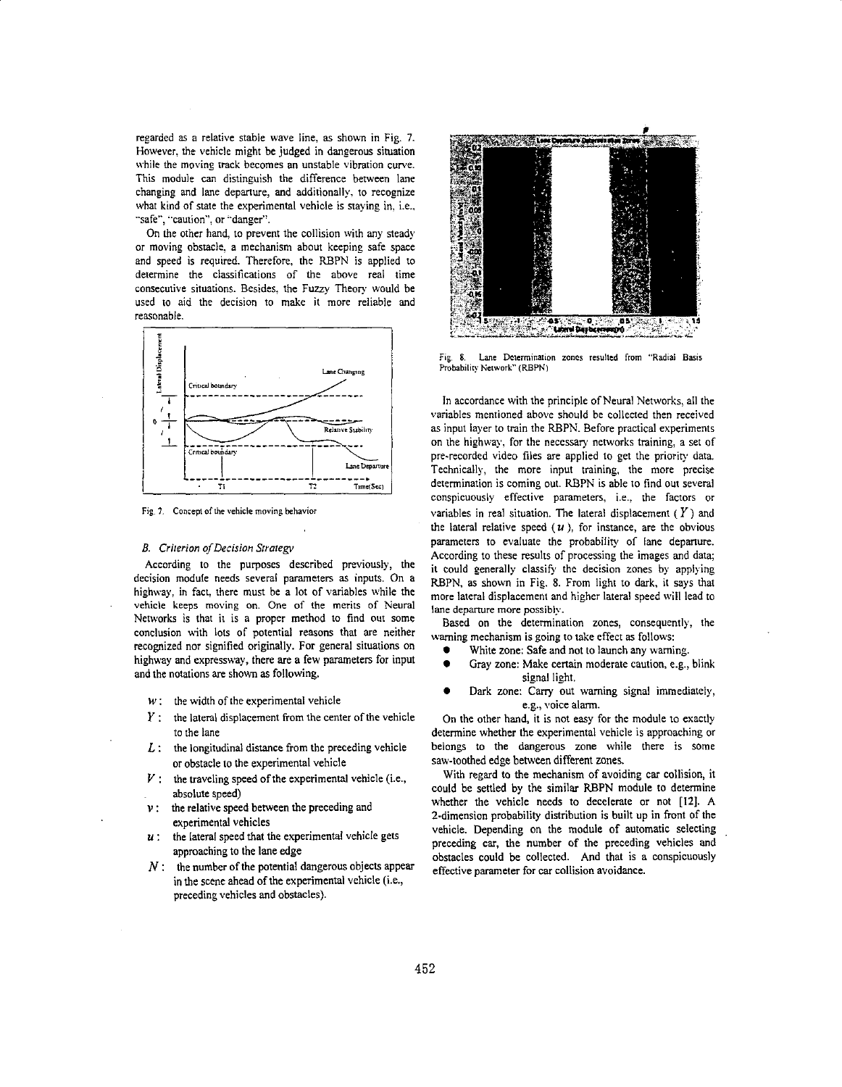regarded **as** a relative stable wave line, **as** shown in Fig. **7.**  However. the vehicle might be judged in dangerous situation while the moving track becomes an unstable vibration curve. This module can distinguish the difference between lane changing and lane departure, and additionally. to recognize what kind of state the experimental vehicle is staying in, i.e.. "safe", "caution", or "danger".

On the other hand. to prevent the collision with any steady or moving obstacle. a mechanism about keeping safe space and speed is required. Therefore, the RBPN is applied to determine the classifications of the above real time consecutive situations. Besides. the Fuzzy Theory would be used to aid the decision to make it more reliable and reasonable.



Fig. 7. Concept of the vehicle moving behavior

## *E. Crirerron ofDecision Srrarep*

According to the purposes described previously, the decision module needs several parameters **as** inputs. On a highway. in fact. there must be a lot of variables while the vehicle keeps moving on. One of the merits of Neural Networks **is** that it is a proper method to find out some conclusion with lots of potential reasons that are neither recognized nor signified originally. For general situations on highway and expressway, there **are** a few parameters for input and the notations are shown **as** following.

- *w* : the width of the experimental vehicle
- *<sup>Y</sup>*: the lateral displacement from the center of the vehicle to the lane
- $L$ : the longitudinal distance from the preceding vehicle or obstacle to the expenmental vehicle
- $V$ : the traveling speed of the experimental vehicle (i.e., absolute speed)
- *<sup>v</sup>*: the relative speed between the preceding and experimental vehicles
- *<sup>U</sup>*: the lateral speed that the experimental vehicle gets approaching to the lane edge
- *N* : the number of the patential dangerous objects appear in the scene ahead of the experimental vehicle (i.e., preceding vehicles and obstacles).



**Fig. 8.** Lane **Determination zones resulted** from **"Radial Basis**  Probability Network" (RBPN)

In accordance with the principle of Neural Networks, all the variables mentioned above should be collected then received **as** input layer to train the RBPN. Before practical experiments on the highway, for the necessary networks training, a set of pre-recorded video files are applied to get the priority data. Technically, the more input training, the more precise determination is coming out. RBPN is able to find out several conspicuously effective parameters, i.e., the factors or variables in real situation. The lateral displacement *(Y)* and the lateral relative speed  $(u)$ , for instance, are the obvious parameters to evaluate the probability of lane departure. According to these results of processing the images and data; it could generally classify the decision zones by applying REPN, **as** shown in Fig. *8.* From light to dark, it says that more lateral displacement and higher lateral speed will lead to lane departure more possibly.

Based on the determination zones, consequently, the warning mechanism is going to take effect **as** follows:

- White zone: Safe and not to launch any warning.
- Gray zone: Make certain moderate caution, e.g., blink signal light.
- Dark zone: Carry out warning signal immediately, e.g., voice **alarm.**

On the other hand, it is not easy for the module to exactly determine whether the experimental vehicle is approaching or belongs to the dangerous zone while there is some saw-toothed edge between different **zones.** 

With regard to the mechanism of avoiding car collision, it could be settled by the similar RBPN module to determine whether the vehicle needs to decelerate or not **[121.** A I-dimension probability distribution **is** built up in front of the vehicle. Depending on the module of automatic selecting preceding car, the number of the preceding vehicles and obstacles could be collected. And that is a conspicuously effective parameter for car collision avoidance.